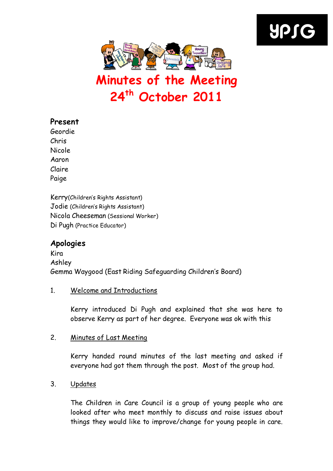



# Minutes of the Meeting 24<sup>th</sup> October 2011

# Present

Geordie Chris Nicole Aaron Claire Paige

Kerry(Children's Rights Assistant) Jodie (Children's Rights Assistant) Nicola Cheeseman (Sessional Worker) Di Pugh (Practice Educator)

# Apologies

Kira Ashley Gemma Waygood (East Riding Safeguarding Children's Board)

# 1. Welcome and Introductions

Kerry introduced Di Pugh and explained that she was here to observe Kerry as part of her degree. Everyone was ok with this

# 2. Minutes of Last Meeting

Kerry handed round minutes of the last meeting and asked if everyone had got them through the post. Most of the group had.

# 3. Updates

The Children in Care Council is a group of young people who are looked after who meet monthly to discuss and raise issues about things they would like to improve/change for young people in care.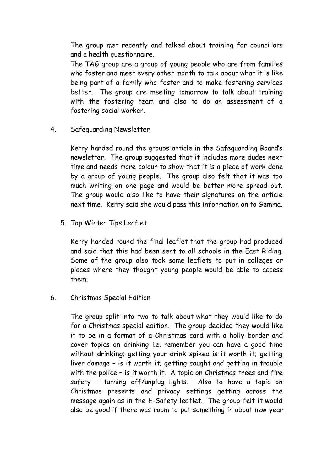The group met recently and talked about training for councillors and a health questionnaire.

The TAG group are a group of young people who are from families who foster and meet every other month to talk about what it is like being part of a family who foster and to make fostering services better. The group are meeting tomorrow to talk about training with the fostering team and also to do an assessment of a fostering social worker.

#### 4. Safeguarding Newsletter

Kerry handed round the groups article in the Safeguarding Board's newsletter. The group suggested that it includes more dudes next time and needs more colour to show that it is a piece of work done by a group of young people. The group also felt that it was too much writing on one page and would be better more spread out. The group would also like to have their signatures on the article next time. Kerry said she would pass this information on to Gemma.

#### 5. Top Winter Tips Leaflet

Kerry handed round the final leaflet that the group had produced and said that this had been sent to all schools in the East Riding. Some of the group also took some leaflets to put in colleges or places where they thought young people would be able to access them.

# 6. Christmas Special Edition

The group split into two to talk about what they would like to do for a Christmas special edition. The group decided they would like it to be in a format of a Christmas card with a holly border and cover topics on drinking i.e. remember you can have a good time without drinking; getting your drink spiked is it worth it; getting liver damage – is it worth it; getting caught and getting in trouble with the police - is it worth it. A topic on Christmas trees and fire safety – turning off/unplug lights. Also to have a topic on Christmas presents and privacy settings getting across the message again as in the E-Safety leaflet. The group felt it would also be good if there was room to put something in about new year